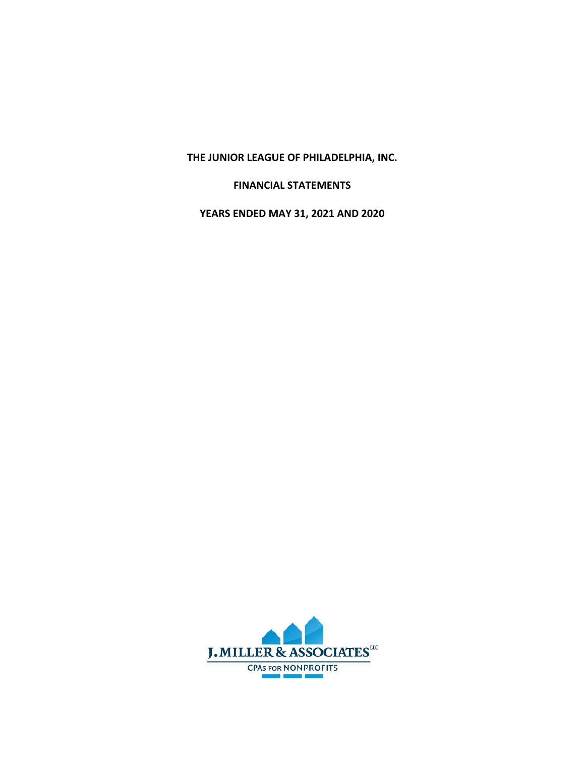**THE JUNIOR LEAGUE OF PHILADELPHIA, INC.**

# **FINANCIAL STATEMENTS**

**YEARS ENDED MAY 31, 2021 AND 2020**

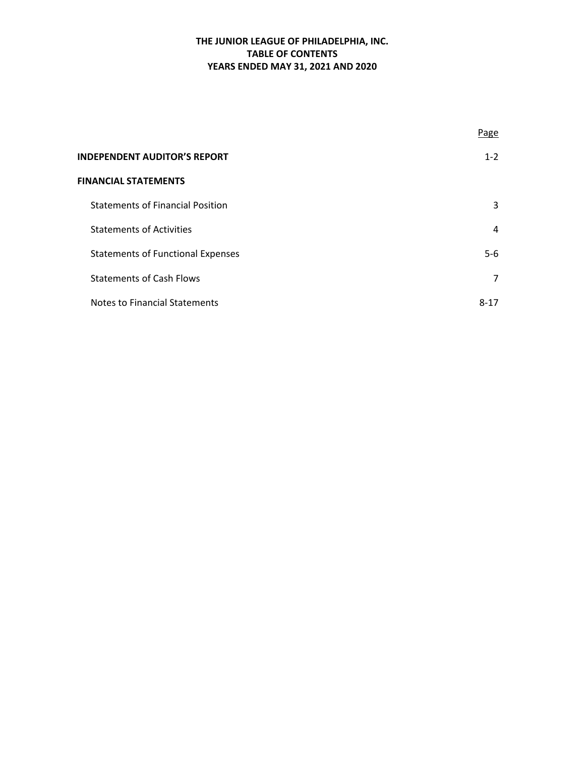# **THE JUNIOR LEAGUE OF PHILADELPHIA, INC. TABLE OF CONTENTS YEARS ENDED MAY 31, 2021 AND 2020**

|                                          | Page           |
|------------------------------------------|----------------|
| <b>INDEPENDENT AUDITOR'S REPORT</b>      | $1 - 2$        |
| <b>FINANCIAL STATEMENTS</b>              |                |
| <b>Statements of Financial Position</b>  | 3              |
| <b>Statements of Activities</b>          | 4              |
| <b>Statements of Functional Expenses</b> | $5-6$          |
| <b>Statements of Cash Flows</b>          | $\overline{7}$ |
| Notes to Financial Statements            | $8 - 17$       |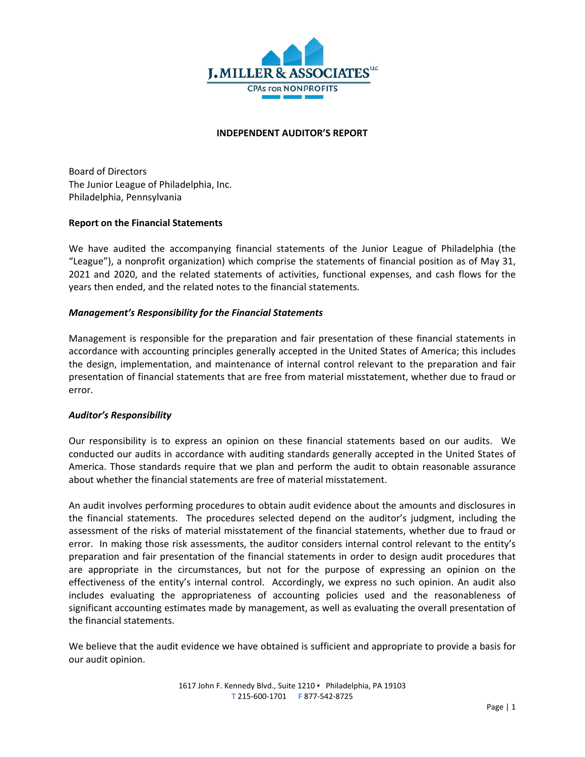

### **INDEPENDENT AUDITOR'S REPORT**

Board of Directors The Junior League of Philadelphia, Inc. Philadelphia, Pennsylvania

### **Report on the Financial Statements**

We have audited the accompanying financial statements of the Junior League of Philadelphia (the "League"), a nonprofit organization) which comprise the statements of financial position as of May 31, 2021 and 2020, and the related statements of activities, functional expenses, and cash flows for the years then ended, and the related notes to the financial statements.

### *Management's Responsibility for the Financial Statements*

Management is responsible for the preparation and fair presentation of these financial statements in accordance with accounting principles generally accepted in the United States of America; this includes the design, implementation, and maintenance of internal control relevant to the preparation and fair presentation of financial statements that are free from material misstatement, whether due to fraud or error.

#### *Auditor's Responsibility*

Our responsibility is to express an opinion on these financial statements based on our audits. We conducted our audits in accordance with auditing standards generally accepted in the United States of America. Those standards require that we plan and perform the audit to obtain reasonable assurance about whether the financial statements are free of material misstatement.

An audit involves performing procedures to obtain audit evidence about the amounts and disclosures in the financial statements. The procedures selected depend on the auditor's judgment, including the assessment of the risks of material misstatement of the financial statements, whether due to fraud or error. In making those risk assessments, the auditor considers internal control relevant to the entity's preparation and fair presentation of the financial statements in order to design audit procedures that are appropriate in the circumstances, but not for the purpose of expressing an opinion on the effectiveness of the entity's internal control. Accordingly, we express no such opinion. An audit also includes evaluating the appropriateness of accounting policies used and the reasonableness of significant accounting estimates made by management, as well as evaluating the overall presentation of the financial statements.

We believe that the audit evidence we have obtained is sufficient and appropriate to provide a basis for our audit opinion.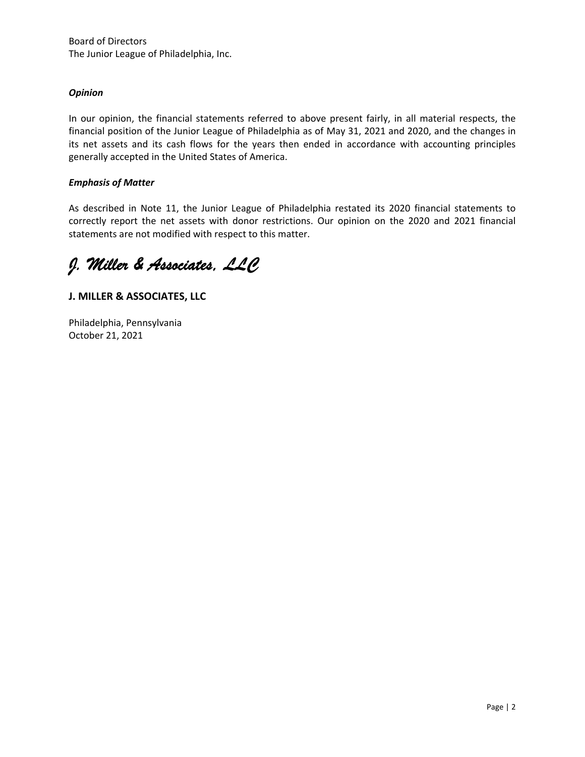## *Opinion*

In our opinion, the financial statements referred to above present fairly, in all material respects, the financial position of the Junior League of Philadelphia as of May 31, 2021 and 2020, and the changes in its net assets and its cash flows for the years then ended in accordance with accounting principles generally accepted in the United States of America.

### *Emphasis of Matter*

As described in Note 11, the Junior League of Philadelphia restated its 2020 financial statements to correctly report the net assets with donor restrictions. Our opinion on the 2020 and 2021 financial statements are not modified with respect to this matter.

*J. Miller & Associates, LLC* 

**J. MILLER & ASSOCIATES, LLC**

Philadelphia, Pennsylvania October 21, 2021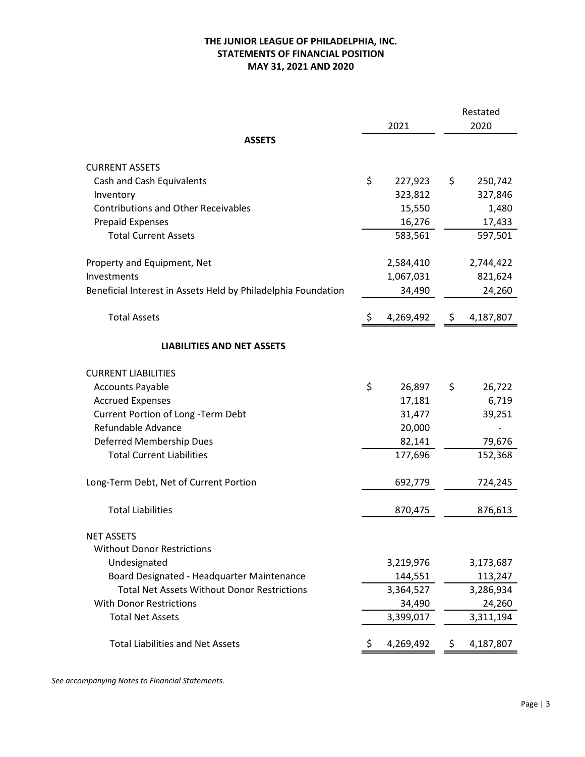# **THE JUNIOR LEAGUE OF PHILADELPHIA, INC. STATEMENTS OF FINANCIAL POSITION MAY 31, 2021 AND 2020**

|                                                               |                 |     | Restated  |
|---------------------------------------------------------------|-----------------|-----|-----------|
|                                                               | 2021            |     | 2020      |
| <b>ASSETS</b>                                                 |                 |     |           |
| <b>CURRENT ASSETS</b>                                         |                 |     |           |
| Cash and Cash Equivalents                                     | \$<br>227,923   | \$  | 250,742   |
| Inventory                                                     | 323,812         |     | 327,846   |
| <b>Contributions and Other Receivables</b>                    | 15,550          |     | 1,480     |
| <b>Prepaid Expenses</b>                                       | 16,276          |     | 17,433    |
| <b>Total Current Assets</b>                                   | 583,561         |     | 597,501   |
|                                                               |                 |     |           |
| Property and Equipment, Net                                   | 2,584,410       |     | 2,744,422 |
| Investments                                                   | 1,067,031       |     | 821,624   |
| Beneficial Interest in Assets Held by Philadelphia Foundation | 34,490          |     | 24,260    |
|                                                               |                 |     |           |
| <b>Total Assets</b>                                           | \$<br>4,269,492 | \$  | 4,187,807 |
| <b>LIABILITIES AND NET ASSETS</b>                             |                 |     |           |
| <b>CURRENT LIABILITIES</b>                                    |                 |     |           |
| <b>Accounts Payable</b>                                       | \$<br>26,897    | \$  | 26,722    |
| <b>Accrued Expenses</b>                                       | 17,181          |     | 6,719     |
| Current Portion of Long -Term Debt                            | 31,477          |     | 39,251    |
| Refundable Advance                                            | 20,000          |     |           |
| Deferred Membership Dues                                      | 82,141          |     | 79,676    |
| <b>Total Current Liabilities</b>                              | 177,696         |     | 152,368   |
|                                                               |                 |     |           |
| Long-Term Debt, Net of Current Portion                        | 692,779         |     | 724,245   |
| <b>Total Liabilities</b>                                      | 870,475         |     | 876,613   |
| <b>NET ASSETS</b>                                             |                 |     |           |
| <b>Without Donor Restrictions</b>                             |                 |     |           |
| Undesignated                                                  | 3,219,976       |     | 3,173,687 |
| Board Designated - Headquarter Maintenance                    | 144,551         |     | 113,247   |
| <b>Total Net Assets Without Donor Restrictions</b>            | 3,364,527       |     | 3,286,934 |
| <b>With Donor Restrictions</b>                                | 34,490          |     | 24,260    |
| <b>Total Net Assets</b>                                       | 3,399,017       |     | 3,311,194 |
| <b>Total Liabilities and Net Assets</b>                       | \$<br>4,269,492 | \$. | 4,187,807 |
|                                                               |                 |     |           |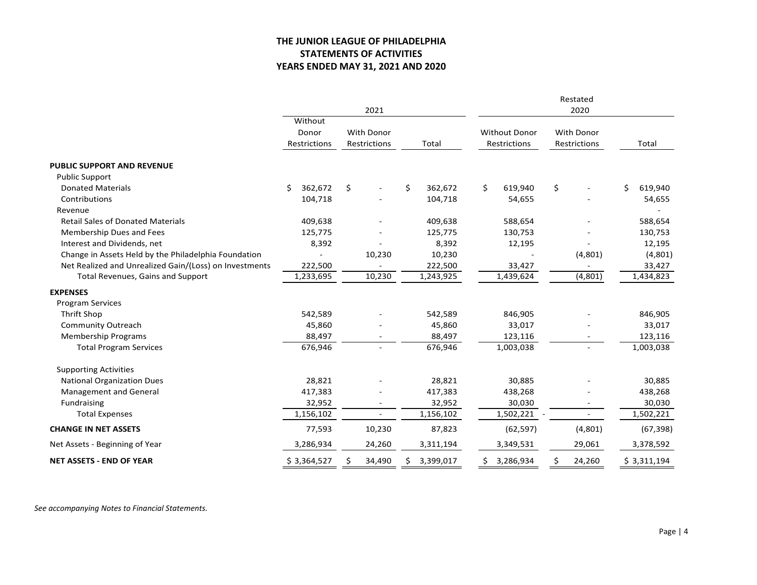## **THE JUNIOR LEAGUE OF PHILADELPHIA STATEMENTS OF ACTIVITIES YEARS ENDED MAY 31, 2021 AND 2020**

|                                                        |               |                                            |  |                 | Restated             |           |                   |          |       |             |  |
|--------------------------------------------------------|---------------|--------------------------------------------|--|-----------------|----------------------|-----------|-------------------|----------|-------|-------------|--|
|                                                        |               | 2021                                       |  |                 |                      |           |                   | 2020     |       |             |  |
|                                                        | Without       |                                            |  |                 |                      |           |                   |          |       |             |  |
|                                                        | Donor         | <b>With Donor</b><br>Restrictions<br>Total |  |                 | <b>Without Donor</b> |           | <b>With Donor</b> |          |       |             |  |
|                                                        | Restrictions  |                                            |  |                 | Restrictions         |           | Restrictions      |          | Total |             |  |
| <b>PUBLIC SUPPORT AND REVENUE</b>                      |               |                                            |  |                 |                      |           |                   |          |       |             |  |
| <b>Public Support</b>                                  |               |                                            |  |                 |                      |           |                   |          |       |             |  |
| <b>Donated Materials</b>                               | 362,672<br>Ŝ. | \$                                         |  | \$<br>362,672   | \$                   | 619,940   | \$                |          | \$    | 619,940     |  |
| Contributions                                          | 104,718       |                                            |  | 104,718         |                      | 54,655    |                   |          |       | 54,655      |  |
| Revenue                                                |               |                                            |  |                 |                      |           |                   |          |       |             |  |
| <b>Retail Sales of Donated Materials</b>               | 409,638       |                                            |  | 409,638         |                      | 588,654   |                   |          |       | 588,654     |  |
| Membership Dues and Fees                               | 125,775       |                                            |  | 125,775         |                      | 130,753   |                   |          |       | 130,753     |  |
| Interest and Dividends, net                            | 8,392         |                                            |  | 8,392           |                      | 12,195    |                   |          |       | 12,195      |  |
| Change in Assets Held by the Philadelphia Foundation   |               | 10,230                                     |  | 10,230          |                      |           |                   | (4,801)  |       | (4,801)     |  |
| Net Realized and Unrealized Gain/(Loss) on Investments | 222,500       |                                            |  | 222,500         |                      | 33,427    |                   |          |       | 33,427      |  |
| Total Revenues, Gains and Support                      | 1,233,695     | 10,230                                     |  | 1,243,925       |                      | 1,439,624 |                   | (4, 801) |       | 1,434,823   |  |
| <b>EXPENSES</b>                                        |               |                                            |  |                 |                      |           |                   |          |       |             |  |
| <b>Program Services</b>                                |               |                                            |  |                 |                      |           |                   |          |       |             |  |
| <b>Thrift Shop</b>                                     | 542,589       |                                            |  | 542,589         |                      | 846,905   |                   |          |       | 846,905     |  |
| <b>Community Outreach</b>                              | 45,860        |                                            |  | 45,860          |                      | 33,017    |                   |          |       | 33,017      |  |
| <b>Membership Programs</b>                             | 88,497        |                                            |  | 88,497          |                      | 123,116   |                   |          |       | 123,116     |  |
| <b>Total Program Services</b>                          | 676,946       |                                            |  | 676,946         |                      | 1,003,038 |                   |          |       | 1,003,038   |  |
| <b>Supporting Activities</b>                           |               |                                            |  |                 |                      |           |                   |          |       |             |  |
| <b>National Organization Dues</b>                      | 28,821        |                                            |  | 28,821          |                      | 30,885    |                   |          |       | 30,885      |  |
| <b>Management and General</b>                          | 417,383       |                                            |  | 417,383         |                      | 438,268   |                   |          |       | 438,268     |  |
| Fundraising                                            | 32,952        |                                            |  | 32,952          |                      | 30,030    |                   |          |       | 30,030      |  |
| <b>Total Expenses</b>                                  | 1,156,102     |                                            |  | 1,156,102       |                      | 1,502,221 |                   |          |       | 1,502,221   |  |
| <b>CHANGE IN NET ASSETS</b>                            | 77,593        | 10,230                                     |  | 87,823          |                      | (62, 597) |                   | (4,801)  |       | (67, 398)   |  |
| Net Assets - Beginning of Year                         | 3,286,934     | 24,260                                     |  | 3,311,194       |                      | 3,349,531 |                   | 29,061   |       | 3,378,592   |  |
| <b>NET ASSETS - END OF YEAR</b>                        | \$3,364,527   | 34,490<br>\$.                              |  | \$<br>3,399,017 | \$.                  | 3,286,934 | \$                | 24,260   |       | \$3,311,194 |  |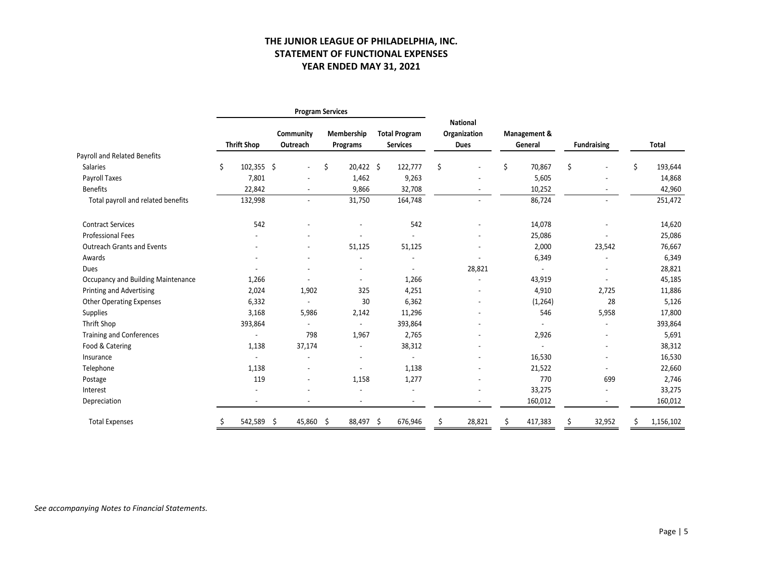## **THE JUNIOR LEAGUE OF PHILADELPHIA, INC. STATEMENT OF FUNCTIONAL EXPENSES YEAR ENDED MAY 31, 2021**

|                                     | <b>Program Services</b> |                          |                          |                          |     |                                         |                                                |                         |                          |               |
|-------------------------------------|-------------------------|--------------------------|--------------------------|--------------------------|-----|-----------------------------------------|------------------------------------------------|-------------------------|--------------------------|---------------|
|                                     |                         | <b>Thrift Shop</b>       | Community<br>Outreach    | Membership<br>Programs   |     | <b>Total Program</b><br><b>Services</b> | <b>National</b><br>Organization<br><b>Dues</b> | Management &<br>General | <b>Fundraising</b>       | <b>Total</b>  |
| <b>Payroll and Related Benefits</b> |                         |                          |                          |                          |     |                                         |                                                |                         |                          |               |
| <b>Salaries</b>                     | Ś                       | 102,355 \$               | $\sim$                   | \$<br>$20,422$ \$        |     | 122,777                                 | \$                                             | \$<br>70,867            | \$<br>ä,                 | \$<br>193,644 |
| <b>Payroll Taxes</b>                |                         | 7,801                    |                          | 1,462                    |     | 9,263                                   |                                                | 5,605                   | ÷                        | 14,868        |
| <b>Benefits</b>                     |                         | 22,842                   | $\overline{\phantom{a}}$ | 9,866                    |     | 32,708                                  |                                                | 10,252                  | $\overline{\phantom{a}}$ | 42,960        |
| Total payroll and related benefits  |                         | 132,998                  |                          | 31,750                   |     | 164,748                                 |                                                | 86,724                  |                          | 251,472       |
| <b>Contract Services</b>            |                         | 542                      |                          |                          |     | 542                                     |                                                | 14,078                  |                          | 14,620        |
| <b>Professional Fees</b>            |                         |                          |                          |                          |     |                                         |                                                | 25,086                  |                          | 25,086        |
| <b>Outreach Grants and Events</b>   |                         | ٠                        | $\overline{\phantom{a}}$ | 51,125                   |     | 51,125                                  |                                                | 2,000                   | 23,542                   | 76,667        |
| Awards                              |                         |                          |                          |                          |     | $\overline{\phantom{a}}$                |                                                | 6,349                   |                          | 6,349         |
| Dues                                |                         |                          |                          | $\blacksquare$           |     | $\overline{\phantom{a}}$                | 28,821                                         |                         | ٠                        | 28,821        |
| Occupancy and Building Maintenance  |                         | 1,266                    |                          | $\overline{\phantom{a}}$ |     | 1,266                                   |                                                | 43,919                  | $\overline{\phantom{a}}$ | 45,185        |
| <b>Printing and Advertising</b>     |                         | 2,024                    | 1,902                    | 325                      |     | 4,251                                   | $\blacksquare$                                 | 4,910                   | 2,725                    | 11,886        |
| <b>Other Operating Expenses</b>     |                         | 6,332                    |                          | 30                       |     | 6,362                                   |                                                | (1, 264)                | 28                       | 5,126         |
| Supplies                            |                         | 3,168                    | 5,986                    | 2,142                    |     | 11,296                                  |                                                | 546                     | 5,958                    | 17,800        |
| Thrift Shop                         |                         | 393,864                  |                          | $\blacksquare$           |     | 393,864                                 |                                                |                         | ä,                       | 393,864       |
| <b>Training and Conferences</b>     |                         | $\blacksquare$           | 798                      | 1,967                    |     | 2,765                                   |                                                | 2,926                   | ٠                        | 5,691         |
| Food & Catering                     |                         | 1,138                    | 37,174                   | $\overline{\phantom{a}}$ |     | 38,312                                  |                                                |                         |                          | 38,312        |
| Insurance                           |                         | $\overline{\phantom{a}}$ |                          | $\blacksquare$           |     | $\overline{\phantom{a}}$                |                                                | 16,530                  |                          | 16,530        |
| Telephone                           |                         | 1,138                    |                          | $\blacksquare$           |     | 1,138                                   |                                                | 21,522                  | $\sim$                   | 22,660        |
| Postage                             |                         | 119                      |                          | 1,158                    |     | 1,277                                   |                                                | 770                     | 699                      | 2,746         |
| Interest                            |                         |                          |                          |                          |     | $\overline{\phantom{a}}$                |                                                | 33,275                  | ٠                        | 33,275        |
| Depreciation                        |                         | $\blacksquare$           |                          |                          |     | ٠                                       |                                                | 160,012                 | $\overline{\phantom{a}}$ | 160,012       |
| <b>Total Expenses</b>               |                         | 542,589                  | \$.<br>45,860            | 88,497<br>\$.            | -\$ | 676,946                                 | 28,821                                         | 417,383                 | 32,952                   | 1,156,102     |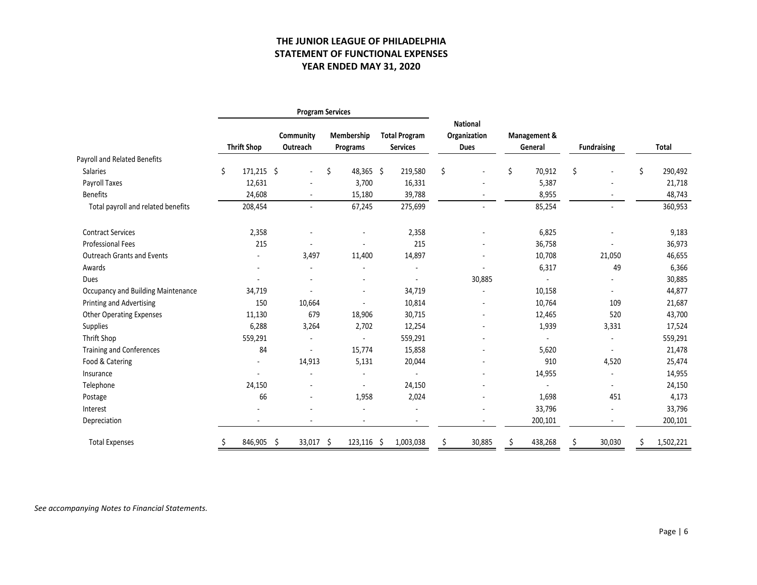## **THE JUNIOR LEAGUE OF PHILADELPHIA STATEMENT OF FUNCTIONAL EXPENSES YEAR ENDED MAY 31, 2020**

|                                    | <b>Program Services</b> |                          |                       |                        |                                         |                                                |    |                          |                          |       |           |
|------------------------------------|-------------------------|--------------------------|-----------------------|------------------------|-----------------------------------------|------------------------------------------------|----|--------------------------|--------------------------|-------|-----------|
|                                    |                         | <b>Thrift Shop</b>       | Community<br>Outreach | Membership<br>Programs | <b>Total Program</b><br><b>Services</b> | <b>National</b><br>Organization<br><b>Dues</b> |    | Management &<br>General  | <b>Fundraising</b>       | Total |           |
| Payroll and Related Benefits       |                         |                          |                       |                        |                                         |                                                |    |                          |                          |       |           |
| Salaries                           | Ś.                      | 171,215 \$               | $\sim$                | \$<br>48,365 \$        | 219,580                                 | \$                                             | Ś. | 70,912                   | \$                       | \$    | 290,492   |
| Payroll Taxes                      |                         | 12,631                   |                       | 3,700                  | 16,331                                  |                                                |    | 5,387                    |                          |       | 21,718    |
| <b>Benefits</b>                    |                         | 24,608                   |                       | 15,180                 | 39,788                                  |                                                |    | 8,955                    |                          |       | 48,743    |
| Total payroll and related benefits |                         | 208,454                  | $\sim$                | 67,245                 | 275,699                                 |                                                |    | 85,254                   |                          |       | 360,953   |
| <b>Contract Services</b>           |                         | 2,358                    |                       | $\blacksquare$         | 2,358                                   |                                                |    | 6,825                    |                          |       | 9,183     |
| Professional Fees                  |                         | 215                      |                       |                        | 215                                     |                                                |    | 36,758                   |                          |       | 36,973    |
| <b>Outreach Grants and Events</b>  |                         | $\overline{\phantom{a}}$ | 3,497                 | 11,400                 | 14,897                                  |                                                |    | 10,708                   | 21,050                   |       | 46,655    |
| Awards                             |                         | $\overline{\phantom{a}}$ |                       |                        | ÷                                       |                                                |    | 6,317                    | 49                       |       | 6,366     |
| Dues                               |                         |                          |                       |                        |                                         | 30,885                                         |    |                          |                          |       | 30,885    |
| Occupancy and Building Maintenance |                         | 34,719                   |                       |                        | 34,719                                  |                                                |    | 10,158                   | $\sim$                   |       | 44,877    |
| <b>Printing and Advertising</b>    |                         | 150                      | 10,664                |                        | 10,814                                  |                                                |    | 10,764                   | 109                      |       | 21,687    |
| <b>Other Operating Expenses</b>    |                         | 11,130                   | 679                   | 18,906                 | 30,715                                  |                                                |    | 12,465                   | 520                      |       | 43,700    |
| Supplies                           |                         | 6,288                    | 3,264                 | 2,702                  | 12,254                                  |                                                |    | 1,939                    | 3,331                    |       | 17,524    |
| Thrift Shop                        |                         | 559,291                  |                       | $\blacksquare$         | 559,291                                 |                                                |    | $\overline{\phantom{a}}$ |                          |       | 559,291   |
| <b>Training and Conferences</b>    |                         | 84                       |                       | 15,774                 | 15,858                                  |                                                |    | 5,620                    | $\overline{\phantom{a}}$ |       | 21,478    |
| Food & Catering                    |                         | $\overline{a}$           | 14,913                | 5,131                  | 20,044                                  |                                                |    | 910                      | 4,520                    |       | 25,474    |
| Insurance                          |                         |                          |                       |                        |                                         |                                                |    | 14,955                   |                          |       | 14,955    |
| Telephone                          |                         | 24,150                   |                       |                        | 24,150                                  |                                                |    | $\overline{a}$           |                          |       | 24,150    |
| Postage                            |                         | 66                       |                       | 1,958                  | 2,024                                   |                                                |    | 1,698                    | 451                      |       | 4,173     |
| Interest                           |                         |                          |                       |                        |                                         |                                                |    | 33,796                   |                          |       | 33,796    |
| Depreciation                       |                         |                          |                       |                        |                                         |                                                |    | 200,101                  |                          |       | 200,101   |
| <b>Total Expenses</b>              |                         | 846,905                  | \$.<br>33,017         | 123,116<br>\$          | -Ś<br>1,003,038                         | 30,885                                         |    | 438,268                  | 30,030                   |       | 1,502,221 |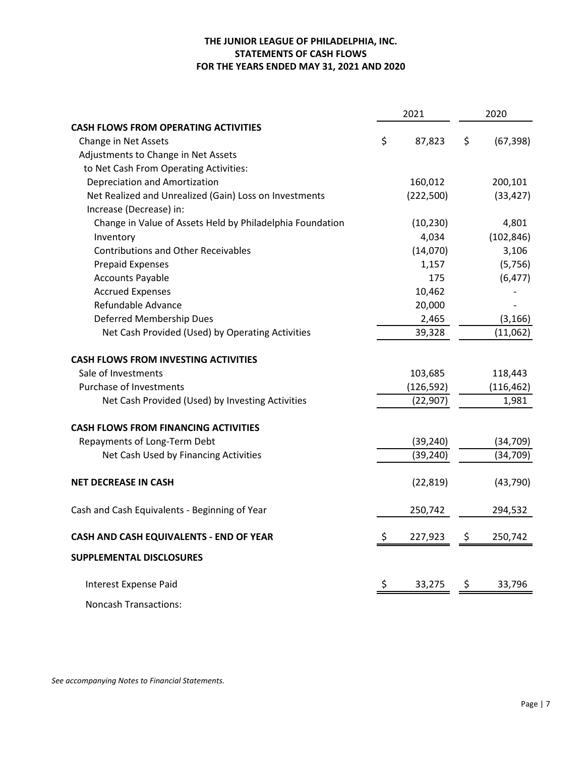# **THE JUNIOR LEAGUE OF PHILADELPHIA, INC. STATEMENTS OF CASH FLOWS FOR THE YEARS ENDED MAY 31, 2021 AND 2020**

|                                                                                   | 2021          | 2020            |
|-----------------------------------------------------------------------------------|---------------|-----------------|
| <b>CASH FLOWS FROM OPERATING ACTIVITIES</b>                                       |               |                 |
| Change in Net Assets                                                              | \$<br>87,823  | \$<br>(67, 398) |
| Adjustments to Change in Net Assets                                               |               |                 |
| to Net Cash From Operating Activities:                                            |               |                 |
| <b>Depreciation and Amortization</b>                                              | 160,012       | 200,101         |
| Net Realized and Unrealized (Gain) Loss on Investments<br>Increase (Decrease) in: | (222,500)     | (33, 427)       |
| Change in Value of Assets Held by Philadelphia Foundation                         | (10, 230)     | 4,801           |
| Inventory                                                                         | 4,034         | (102, 846)      |
| <b>Contributions and Other Receivables</b>                                        | (14,070)      | 3,106           |
| <b>Prepaid Expenses</b>                                                           | 1,157         | (5, 756)        |
| <b>Accounts Payable</b>                                                           | 175           | (6, 477)        |
| <b>Accrued Expenses</b>                                                           | 10,462        |                 |
| Refundable Advance                                                                | 20,000        |                 |
| Deferred Membership Dues                                                          | 2,465         | (3, 166)        |
| Net Cash Provided (Used) by Operating Activities                                  | 39,328        | (11,062)        |
|                                                                                   |               |                 |
| <b>CASH FLOWS FROM INVESTING ACTIVITIES</b>                                       |               |                 |
| Sale of Investments                                                               | 103,685       | 118,443         |
| Purchase of Investments                                                           | (126, 592)    | (116, 462)      |
| Net Cash Provided (Used) by Investing Activities                                  | (22, 907)     | 1,981           |
| <b>CASH FLOWS FROM FINANCING ACTIVITIES</b>                                       |               |                 |
| Repayments of Long-Term Debt                                                      | (39, 240)     | (34, 709)       |
| Net Cash Used by Financing Activities                                             | (39, 240)     | (34, 709)       |
| <b>NET DECREASE IN CASH</b>                                                       | (22, 819)     | (43, 790)       |
| Cash and Cash Equivalents - Beginning of Year                                     | 250,742       | 294,532         |
| CASH AND CASH EQUIVALENTS - END OF YEAR                                           | \$<br>227,923 | \$<br>250,742   |
| <b>SUPPLEMENTAL DISCLOSURES</b>                                                   |               |                 |
| Interest Expense Paid                                                             | \$<br>33,275  | \$<br>33,796    |
| <b>Noncash Transactions:</b>                                                      |               |                 |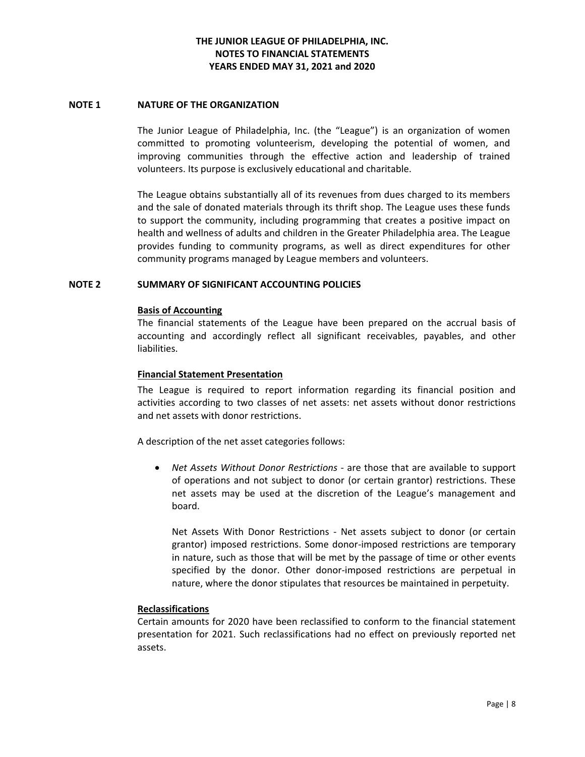### **NOTE 1 NATURE OF THE ORGANIZATION**

The Junior League of Philadelphia, Inc. (the "League") is an organization of women committed to promoting volunteerism, developing the potential of women, and improving communities through the effective action and leadership of trained volunteers. Its purpose is exclusively educational and charitable.

The League obtains substantially all of its revenues from dues charged to its members and the sale of donated materials through its thrift shop. The League uses these funds to support the community, including programming that creates a positive impact on health and wellness of adults and children in the Greater Philadelphia area. The League provides funding to community programs, as well as direct expenditures for other community programs managed by League members and volunteers.

### **NOTE 2 SUMMARY OF SIGNIFICANT ACCOUNTING POLICIES**

### **Basis of Accounting**

The financial statements of the League have been prepared on the accrual basis of accounting and accordingly reflect all significant receivables, payables, and other liabilities.

### **Financial Statement Presentation**

The League is required to report information regarding its financial position and activities according to two classes of net assets: net assets without donor restrictions and net assets with donor restrictions.

A description of the net asset categories follows:

 *Net Assets Without Donor Restrictions* ‐ are those that are available to support of operations and not subject to donor (or certain grantor) restrictions. These net assets may be used at the discretion of the League's management and board.

Net Assets With Donor Restrictions - Net assets subject to donor (or certain grantor) imposed restrictions. Some donor‐imposed restrictions are temporary in nature, such as those that will be met by the passage of time or other events specified by the donor. Other donor-imposed restrictions are perpetual in nature, where the donor stipulates that resources be maintained in perpetuity.

#### **Reclassifications**

Certain amounts for 2020 have been reclassified to conform to the financial statement presentation for 2021. Such reclassifications had no effect on previously reported net assets.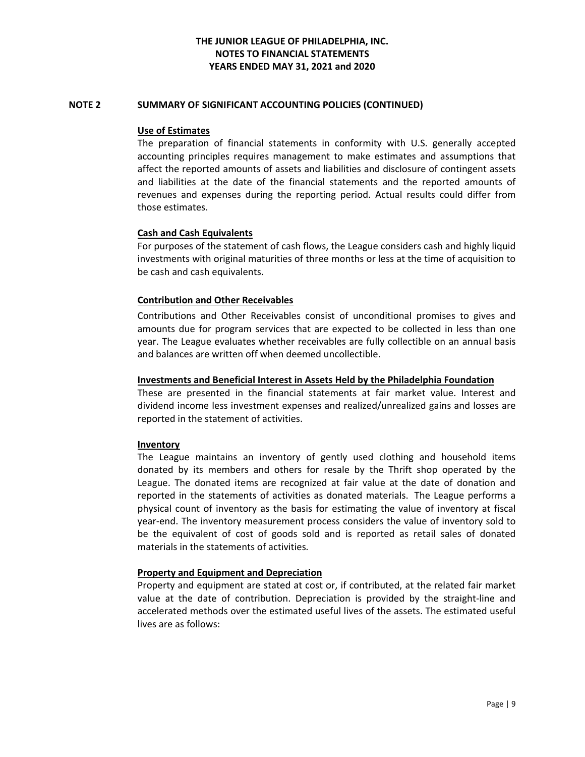### **NOTE 2 SUMMARY OF SIGNIFICANT ACCOUNTING POLICIES (CONTINUED)**

### **Use of Estimates**

The preparation of financial statements in conformity with U.S. generally accepted accounting principles requires management to make estimates and assumptions that affect the reported amounts of assets and liabilities and disclosure of contingent assets and liabilities at the date of the financial statements and the reported amounts of revenues and expenses during the reporting period. Actual results could differ from those estimates.

### **Cash and Cash Equivalents**

For purposes of the statement of cash flows, the League considers cash and highly liquid investments with original maturities of three months or less at the time of acquisition to be cash and cash equivalents.

### **Contribution and Other Receivables**

Contributions and Other Receivables consist of unconditional promises to gives and amounts due for program services that are expected to be collected in less than one year. The League evaluates whether receivables are fully collectible on an annual basis and balances are written off when deemed uncollectible.

#### **Investments and Beneficial Interest in Assets Held by the Philadelphia Foundation**

These are presented in the financial statements at fair market value. Interest and dividend income less investment expenses and realized/unrealized gains and losses are reported in the statement of activities.

#### **Inventory**

The League maintains an inventory of gently used clothing and household items donated by its members and others for resale by the Thrift shop operated by the League. The donated items are recognized at fair value at the date of donation and reported in the statements of activities as donated materials. The League performs a physical count of inventory as the basis for estimating the value of inventory at fiscal year-end. The inventory measurement process considers the value of inventory sold to be the equivalent of cost of goods sold and is reported as retail sales of donated materials in the statements of activities*.*

## **Property and Equipment and Depreciation**

Property and equipment are stated at cost or, if contributed, at the related fair market value at the date of contribution. Depreciation is provided by the straight‐line and accelerated methods over the estimated useful lives of the assets. The estimated useful lives are as follows: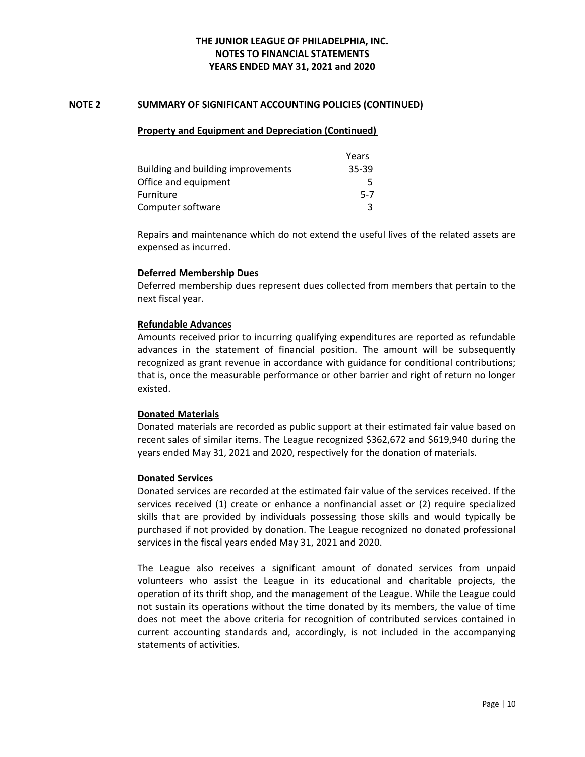### **NOTE 2 SUMMARY OF SIGNIFICANT ACCOUNTING POLICIES (CONTINUED)**

#### **Property and Equipment and Depreciation (Continued)**

|                                    | Years     |
|------------------------------------|-----------|
| Building and building improvements | $35 - 39$ |
| Office and equipment               |           |
| <b>Furniture</b>                   | $5-7$     |
| Computer software                  |           |

Repairs and maintenance which do not extend the useful lives of the related assets are expensed as incurred.

#### **Deferred Membership Dues**

Deferred membership dues represent dues collected from members that pertain to the next fiscal year.

### **Refundable Advances**

Amounts received prior to incurring qualifying expenditures are reported as refundable advances in the statement of financial position. The amount will be subsequently recognized as grant revenue in accordance with guidance for conditional contributions; that is, once the measurable performance or other barrier and right of return no longer existed.

#### **Donated Materials**

Donated materials are recorded as public support at their estimated fair value based on recent sales of similar items. The League recognized \$362,672 and \$619,940 during the years ended May 31, 2021 and 2020, respectively for the donation of materials.

## **Donated Services**

Donated services are recorded at the estimated fair value of the services received. If the services received (1) create or enhance a nonfinancial asset or (2) require specialized skills that are provided by individuals possessing those skills and would typically be purchased if not provided by donation. The League recognized no donated professional services in the fiscal years ended May 31, 2021 and 2020.

The League also receives a significant amount of donated services from unpaid volunteers who assist the League in its educational and charitable projects, the operation of its thrift shop, and the management of the League. While the League could not sustain its operations without the time donated by its members, the value of time does not meet the above criteria for recognition of contributed services contained in current accounting standards and, accordingly, is not included in the accompanying statements of activities.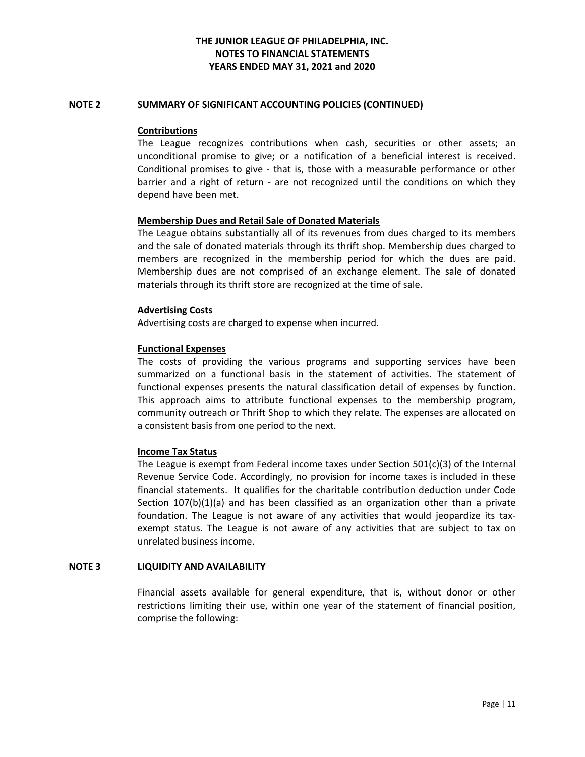### **NOTE 2 SUMMARY OF SIGNIFICANT ACCOUNTING POLICIES (CONTINUED)**

#### **Contributions**

The League recognizes contributions when cash, securities or other assets; an unconditional promise to give; or a notification of a beneficial interest is received. Conditional promises to give ‐ that is, those with a measurable performance or other barrier and a right of return - are not recognized until the conditions on which they depend have been met.

### **Membership Dues and Retail Sale of Donated Materials**

The League obtains substantially all of its revenues from dues charged to its members and the sale of donated materials through its thrift shop. Membership dues charged to members are recognized in the membership period for which the dues are paid. Membership dues are not comprised of an exchange element. The sale of donated materials through its thrift store are recognized at the time of sale.

### **Advertising Costs**

Advertising costs are charged to expense when incurred.

### **Functional Expenses**

The costs of providing the various programs and supporting services have been summarized on a functional basis in the statement of activities. The statement of functional expenses presents the natural classification detail of expenses by function. This approach aims to attribute functional expenses to the membership program, community outreach or Thrift Shop to which they relate. The expenses are allocated on a consistent basis from one period to the next.

#### **Income Tax Status**

The League is exempt from Federal income taxes under Section  $501(c)(3)$  of the Internal Revenue Service Code. Accordingly, no provision for income taxes is included in these financial statements. It qualifies for the charitable contribution deduction under Code Section 107(b)(1)(a) and has been classified as an organization other than a private foundation. The League is not aware of any activities that would jeopardize its tax‐ exempt status. The League is not aware of any activities that are subject to tax on unrelated business income.

#### **NOTE 3 LIQUIDITY AND AVAILABILITY**

Financial assets available for general expenditure, that is, without donor or other restrictions limiting their use, within one year of the statement of financial position, comprise the following: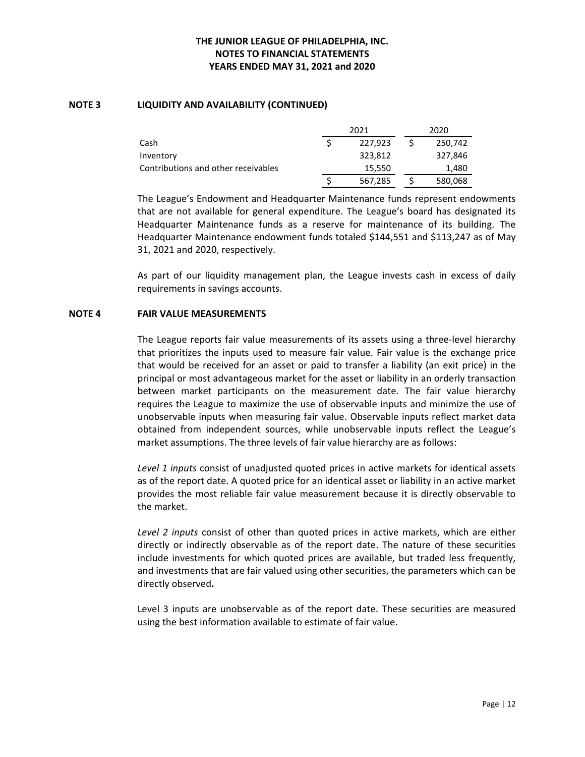### **NOTE 3 LIQUIDITY AND AVAILABILITY (CONTINUED)**

|                                     | 2021    | 2020    |
|-------------------------------------|---------|---------|
| Cash                                | 227.923 | 250,742 |
| Inventory                           | 323.812 | 327,846 |
| Contributions and other receivables | 15,550  | 1,480   |
|                                     | 567,285 | 580,068 |

The League's Endowment and Headquarter Maintenance funds represent endowments that are not available for general expenditure. The League's board has designated its Headquarter Maintenance funds as a reserve for maintenance of its building. The Headquarter Maintenance endowment funds totaled \$144,551 and \$113,247 as of May 31, 2021 and 2020, respectively.

As part of our liquidity management plan, the League invests cash in excess of daily requirements in savings accounts.

#### **NOTE 4 FAIR VALUE MEASUREMENTS**

The League reports fair value measurements of its assets using a three‐level hierarchy that prioritizes the inputs used to measure fair value. Fair value is the exchange price that would be received for an asset or paid to transfer a liability (an exit price) in the principal or most advantageous market for the asset or liability in an orderly transaction between market participants on the measurement date. The fair value hierarchy requires the League to maximize the use of observable inputs and minimize the use of unobservable inputs when measuring fair value. Observable inputs reflect market data obtained from independent sources, while unobservable inputs reflect the League's market assumptions. The three levels of fair value hierarchy are as follows:

*Level 1 inputs* consist of unadjusted quoted prices in active markets for identical assets as of the report date. A quoted price for an identical asset or liability in an active market provides the most reliable fair value measurement because it is directly observable to the market.

*Level 2 inputs* consist of other than quoted prices in active markets, which are either directly or indirectly observable as of the report date. The nature of these securities include investments for which quoted prices are available, but traded less frequently, and investments that are fair valued using other securities, the parameters which can be directly observed**.**

Level 3 inputs are unobservable as of the report date. These securities are measured using the best information available to estimate of fair value.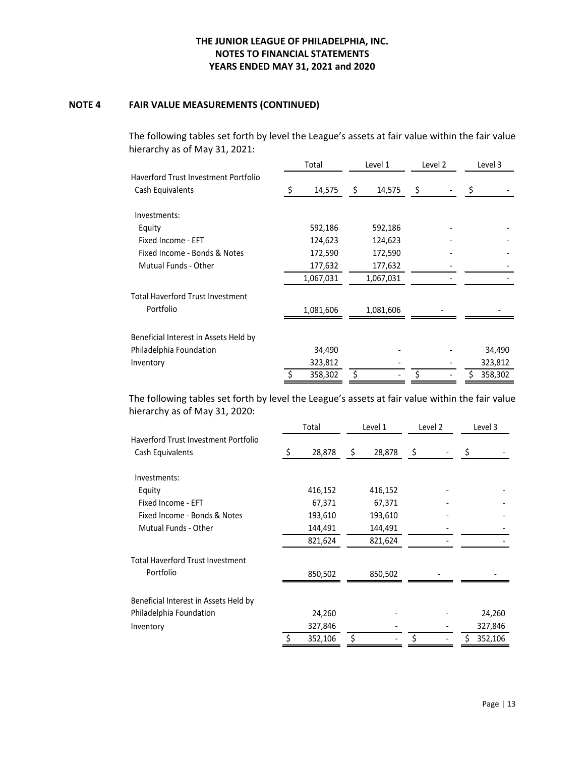### **NOTE 4 FAIR VALUE MEASUREMENTS (CONTINUED)**

The following tables set forth by level the League's assets at fair value within the fair value hierarchy as of May 31, 2021:

|                                         | Total        | Level 1      |     | Level 2 | Level 3       |
|-----------------------------------------|--------------|--------------|-----|---------|---------------|
| Haverford Trust Investment Portfolio    |              |              |     |         |               |
| Cash Equivalents                        | \$<br>14,575 | \$<br>14,575 | -\$ |         | \$            |
| Investments:                            |              |              |     |         |               |
| Equity                                  | 592,186      | 592,186      |     |         |               |
| Fixed Income - EFT                      | 124,623      | 124,623      |     |         |               |
| Fixed Income - Bonds & Notes            | 172,590      | 172,590      |     |         |               |
| Mutual Funds - Other                    | 177,632      | 177,632      |     |         |               |
|                                         | 1,067,031    | 1,067,031    |     |         |               |
| <b>Total Haverford Trust Investment</b> |              |              |     |         |               |
| Portfolio                               | 1,081,606    | 1,081,606    |     |         |               |
| Beneficial Interest in Assets Held by   |              |              |     |         |               |
| Philadelphia Foundation                 | 34,490       |              |     |         | 34,490        |
| Inventory                               | 323,812      |              |     |         | 323,812       |
|                                         | 358,302      | \$           | \$  |         | \$<br>358,302 |

The following tables set forth by level the League's assets at fair value within the fair value hierarchy as of May 31, 2020:

|                                         |     | Total   |    | Level 1 |      | Level 2 |      | Level 3 |  |
|-----------------------------------------|-----|---------|----|---------|------|---------|------|---------|--|
| Haverford Trust Investment Portfolio    |     |         |    |         |      |         |      |         |  |
| Cash Equivalents                        | \$. | 28,878  | \$ | 28,878  | - \$ |         | - \$ |         |  |
| Investments:                            |     |         |    |         |      |         |      |         |  |
| Equity                                  |     | 416,152 |    | 416,152 |      |         |      |         |  |
| Fixed Income - EFT                      |     | 67,371  |    | 67,371  |      |         |      |         |  |
| Fixed Income - Bonds & Notes            |     | 193,610 |    | 193,610 |      |         |      |         |  |
| Mutual Funds - Other                    |     | 144,491 |    | 144,491 |      |         |      |         |  |
|                                         |     | 821,624 |    | 821,624 |      |         |      |         |  |
| <b>Total Haverford Trust Investment</b> |     |         |    |         |      |         |      |         |  |
| Portfolio                               |     | 850,502 |    | 850,502 |      |         |      |         |  |
| Beneficial Interest in Assets Held by   |     |         |    |         |      |         |      |         |  |
| Philadelphia Foundation                 |     | 24,260  |    |         |      |         |      | 24,260  |  |
| Inventory                               |     | 327,846 |    |         |      |         |      | 327,846 |  |
|                                         |     | 352,106 | Ś  |         | \$   |         |      | 352,106 |  |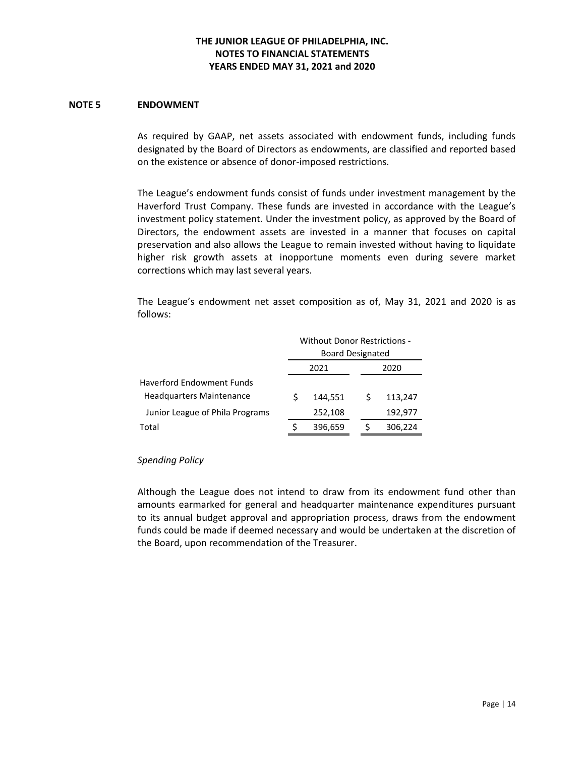### **NOTE 5 ENDOWMENT**

As required by GAAP, net assets associated with endowment funds, including funds designated by the Board of Directors as endowments, are classified and reported based on the existence or absence of donor‐imposed restrictions.

The League's endowment funds consist of funds under investment management by the Haverford Trust Company. These funds are invested in accordance with the League's investment policy statement. Under the investment policy, as approved by the Board of Directors, the endowment assets are invested in a manner that focuses on capital preservation and also allows the League to remain invested without having to liquidate higher risk growth assets at inopportune moments even during severe market corrections which may last several years.

The League's endowment net asset composition as of, May 31, 2021 and 2020 is as follows:

|                                  |   | Without Donor Restrictions - |      |         |  |  |  |  |  |
|----------------------------------|---|------------------------------|------|---------|--|--|--|--|--|
|                                  |   | <b>Board Designated</b>      |      |         |  |  |  |  |  |
|                                  |   | 2021                         | 2020 |         |  |  |  |  |  |
| <b>Haverford Endowment Funds</b> |   |                              |      |         |  |  |  |  |  |
| <b>Headquarters Maintenance</b>  | ς | 144.551                      |      | 113,247 |  |  |  |  |  |
| Junior League of Phila Programs  |   | 252,108                      |      | 192,977 |  |  |  |  |  |
| Total                            |   | 396,659                      |      | 306,224 |  |  |  |  |  |

#### *Spending Policy*

Although the League does not intend to draw from its endowment fund other than amounts earmarked for general and headquarter maintenance expenditures pursuant to its annual budget approval and appropriation process, draws from the endowment funds could be made if deemed necessary and would be undertaken at the discretion of the Board, upon recommendation of the Treasurer.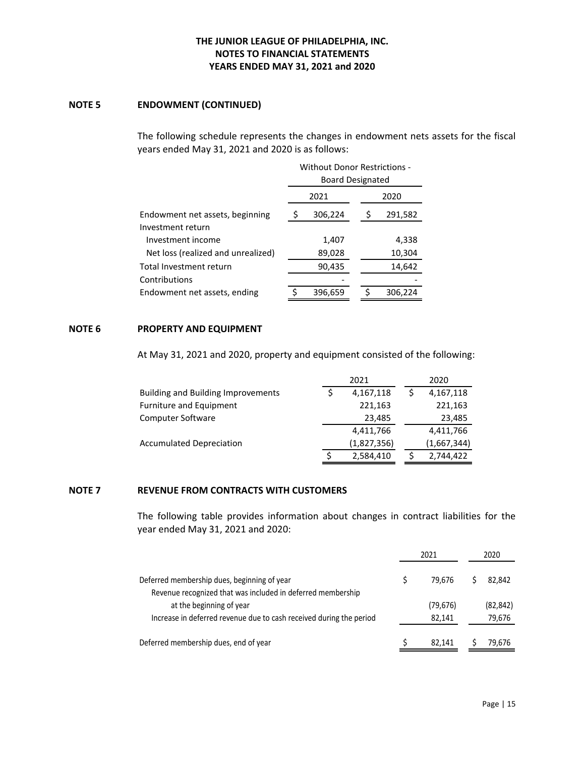### **NOTE 5 ENDOWMENT (CONTINUED)**

The following schedule represents the changes in endowment nets assets for the fiscal years ended May 31, 2021 and 2020 is as follows:

|                                                      | <b>Without Donor Restrictions -</b><br><b>Board Designated</b> |      |         |  |  |  |  |
|------------------------------------------------------|----------------------------------------------------------------|------|---------|--|--|--|--|
|                                                      | 2021                                                           | 2020 |         |  |  |  |  |
| Endowment net assets, beginning<br>Investment return | 306,224                                                        |      | 291,582 |  |  |  |  |
| Investment income                                    | 1,407                                                          |      | 4,338   |  |  |  |  |
| Net loss (realized and unrealized)                   | 89,028                                                         |      | 10,304  |  |  |  |  |
| Total Investment return                              | 90,435                                                         |      | 14,642  |  |  |  |  |
| Contributions                                        |                                                                |      |         |  |  |  |  |
| Endowment net assets, ending                         | 396,659                                                        |      | 306,224 |  |  |  |  |

### **NOTE 6 PROPERTY AND EQUIPMENT**

 At May 31, 2021 and 2020, property and equipment consisted of the following:

|                                           | 2021   |             |  | 2020        |  |  |
|-------------------------------------------|--------|-------------|--|-------------|--|--|
| <b>Building and Building Improvements</b> |        | 4,167,118   |  | 4,167,118   |  |  |
| Furniture and Equipment                   |        | 221,163     |  | 221,163     |  |  |
| Computer Software                         | 23,485 |             |  | 23,485      |  |  |
|                                           |        | 4,411,766   |  | 4,411,766   |  |  |
| <b>Accumulated Depreciation</b>           |        | (1,827,356) |  | (1,667,344) |  |  |
|                                           |        | 2,584,410   |  | 2,744,422   |  |  |

### **NOTE 7 REVENUE FROM CONTRACTS WITH CUSTOMERS**

The following table provides information about changes in contract liabilities for the year ended May 31, 2021 and 2020:

|                                                                     | 2021      |  | 2020      |  |
|---------------------------------------------------------------------|-----------|--|-----------|--|
| Deferred membership dues, beginning of year                         | 79.676    |  | 82.842    |  |
| Revenue recognized that was included in deferred membership         |           |  |           |  |
| at the beginning of year                                            | (79, 676) |  | (82, 842) |  |
| Increase in deferred revenue due to cash received during the period | 82,141    |  | 79,676    |  |
| Deferred membership dues, end of year                               | 82.141    |  | 79,676    |  |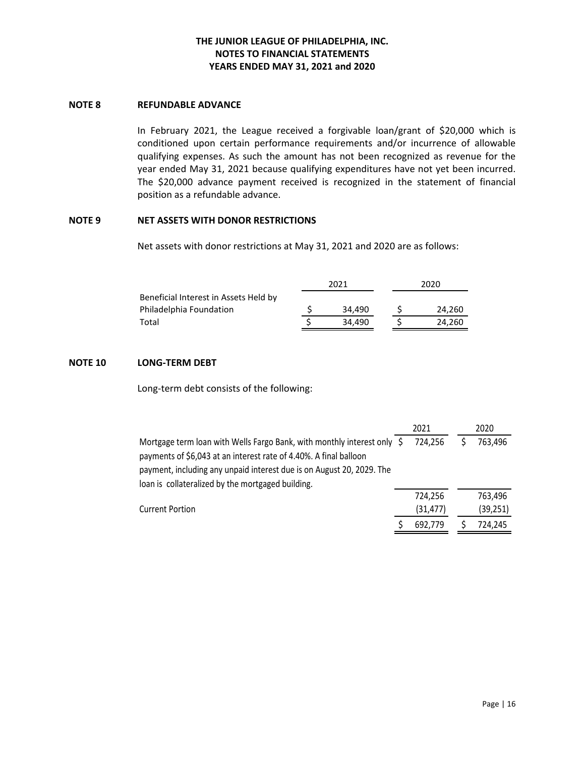### **NOTE 8 REFUNDABLE ADVANCE**

In February 2021, the League received a forgivable loan/grant of \$20,000 which is conditioned upon certain performance requirements and/or incurrence of allowable qualifying expenses. As such the amount has not been recognized as revenue for the year ended May 31, 2021 because qualifying expenditures have not yet been incurred. The \$20,000 advance payment received is recognized in the statement of financial position as a refundable advance.

### **NOTE 9 NET ASSETS WITH DONOR RESTRICTIONS**

Net assets with donor restrictions at May 31, 2021 and 2020 are as follows:

|                                       | 2021   | 2020   |  |  |
|---------------------------------------|--------|--------|--|--|
| Beneficial Interest in Assets Held by |        |        |  |  |
| Philadelphia Foundation               | 34.490 | 24.260 |  |  |
| Total                                 | 34.490 | 24.260 |  |  |
|                                       |        |        |  |  |

## **NOTE 10 LONG‐TERM DEBT**

Long‐term debt consists of the following:

|                                                                                                                                                                                                                                                                            | 2021      |  | 2020      |  |  |
|----------------------------------------------------------------------------------------------------------------------------------------------------------------------------------------------------------------------------------------------------------------------------|-----------|--|-----------|--|--|
| Mortgage term loan with Wells Fargo Bank, with monthly interest only \$<br>payments of \$6,043 at an interest rate of 4.40%. A final balloon<br>payment, including any unpaid interest due is on August 20, 2029. The<br>loan is collateralized by the mortgaged building. | 724,256   |  | 763,496   |  |  |
|                                                                                                                                                                                                                                                                            | 724.256   |  | 763.496   |  |  |
| <b>Current Portion</b>                                                                                                                                                                                                                                                     | (31, 477) |  | (39, 251) |  |  |
|                                                                                                                                                                                                                                                                            | 692.779   |  | 724,245   |  |  |